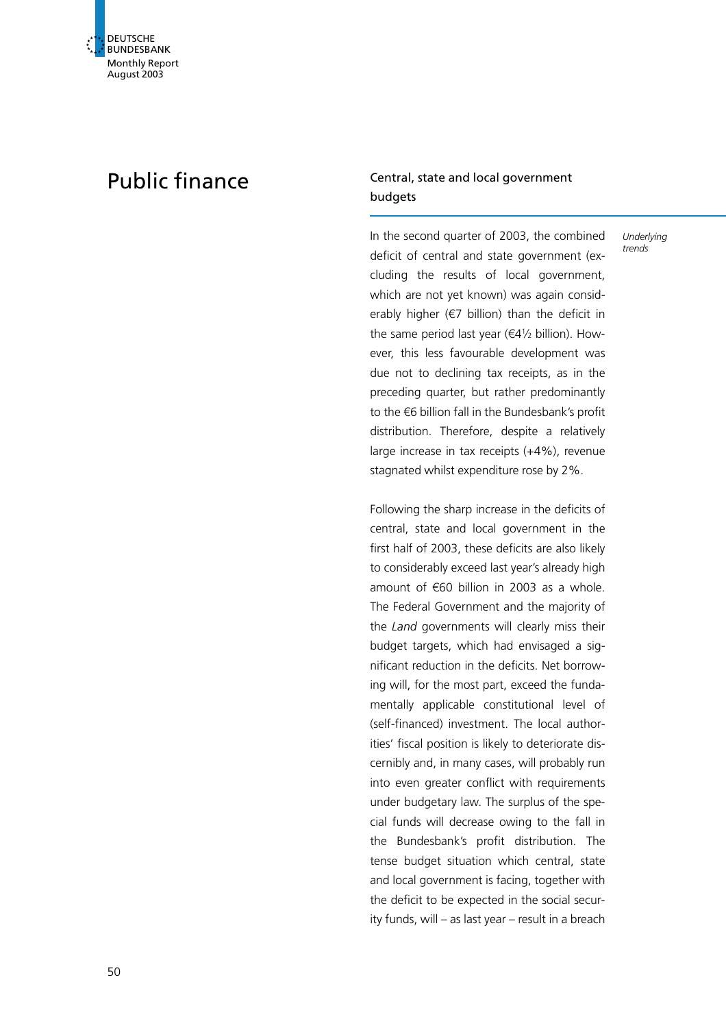# Public finance Central, state and local government budgets

In the second quarter of 2003, the combined deficit of central and state government (excluding the results of local government, which are not yet known) was again considerably higher ( $\epsilon$ 7 billion) than the deficit in the same period last year ( $\epsilon$ 41/2 billion). However, this less favourable development was due not to declining tax receipts, as in the preceding quarter, but rather predominantly to the  $\epsilon$ 6 billion fall in the Bundesbank's profit distribution. Therefore, despite a relatively large increase in tax receipts (+4%), revenue stagnated whilst expenditure rose by 2%.

Underlying trends

Following the sharp increase in the deficits of central, state and local government in the first half of 2003, these deficits are also likely to considerably exceed last year's already high amount of  $\epsilon$ 60 billion in 2003 as a whole. The Federal Government and the majority of the Land governments will clearly miss their budget targets, which had envisaged a significant reduction in the deficits. Net borrowing will, for the most part, exceed the fundamentally applicable constitutional level of (self-financed) investment. The local authorities' fiscal position is likely to deteriorate discernibly and, in many cases, will probably run into even greater conflict with requirements under budgetary law. The surplus of the special funds will decrease owing to the fall in the Bundesbank's profit distribution. The tense budget situation which central, state and local government is facing, together with the deficit to be expected in the social security funds, will – as last year – result in a breach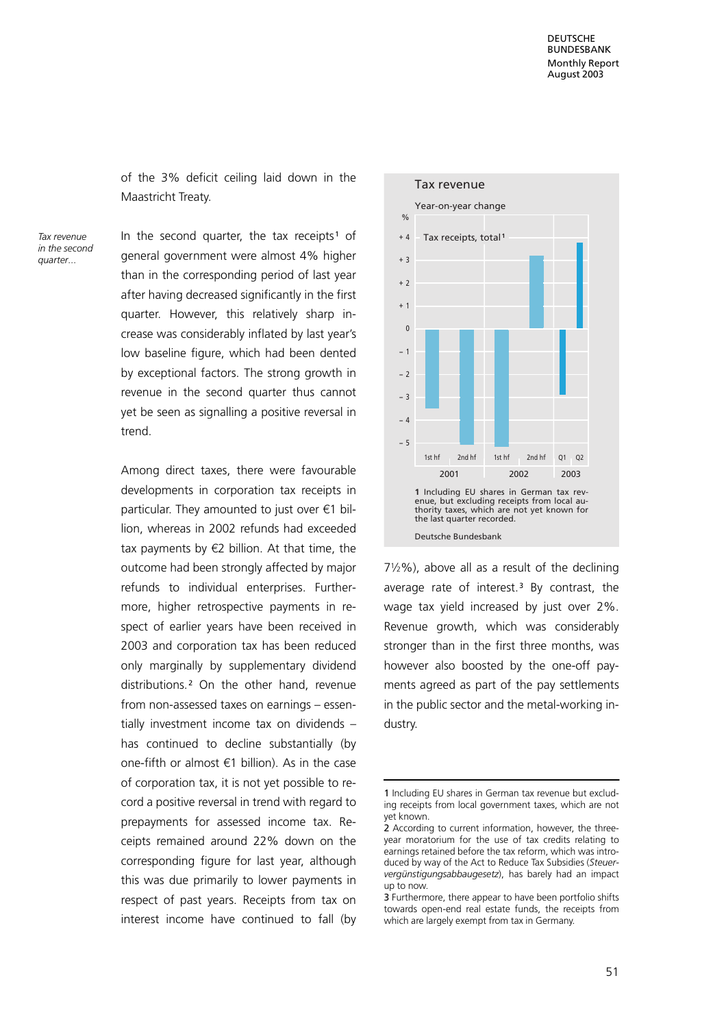of the 3% deficit ceiling laid down in the Maastricht Treaty.

Tax revenue in the second quarter...

In the second quarter, the tax receipts<sup>1</sup> of general government were almost 4% higher than in the corresponding period of last year after having decreased significantly in the first quarter. However, this relatively sharp increase was considerably inflated by last year's low baseline figure, which had been dented by exceptional factors. The strong growth in revenue in the second quarter thus cannot yet be seen as signalling a positive reversal in trend.

Among direct taxes, there were favourable developments in corporation tax receipts in particular. They amounted to just over  $\epsilon$ 1 billion, whereas in 2002 refunds had exceeded tax payments by  $\notin$ 2 billion. At that time, the outcome had been strongly affected by major refunds to individual enterprises. Furthermore, higher retrospective payments in respect of earlier years have been received in 2003 and corporation tax has been reduced only marginally by supplementary dividend distributions.<sup>2</sup> On the other hand, revenue from non-assessed taxes on earnings – essentially investment income tax on dividends – has continued to decline substantially (by one-fifth or almost  $\epsilon$ 1 billion). As in the case of corporation tax, it is not yet possible to record a positive reversal in trend with regard to prepayments for assessed income tax. Receipts remained around 22% down on the corresponding figure for last year, although this was due primarily to lower payments in respect of past years. Receipts from tax on interest income have continued to fall (by



 $7\frac{1}{2}\%$ ), above all as a result of the declining average rate of interest.<sup>3</sup> By contrast, the wage tax yield increased by just over 2%. Revenue growth, which was considerably stronger than in the first three months, was however also boosted by the one-off payments agreed as part of the pay settlements in the public sector and the metal-working industry.

<sup>1</sup> Including EU shares in German tax revenue but excluding receipts from local government taxes, which are not yet known.

<sup>2</sup> According to current information, however, the threeyear moratorium for the use of tax credits relating to earnings retained before the tax reform, which was introduced by way of the Act to Reduce Tax Subsidies (Steuervergünstigungsabbaugesetz), has barely had an impact up to now.

<sup>3</sup> Furthermore, there appear to have been portfolio shifts towards open-end real estate funds, the receipts from which are largely exempt from tax in Germany.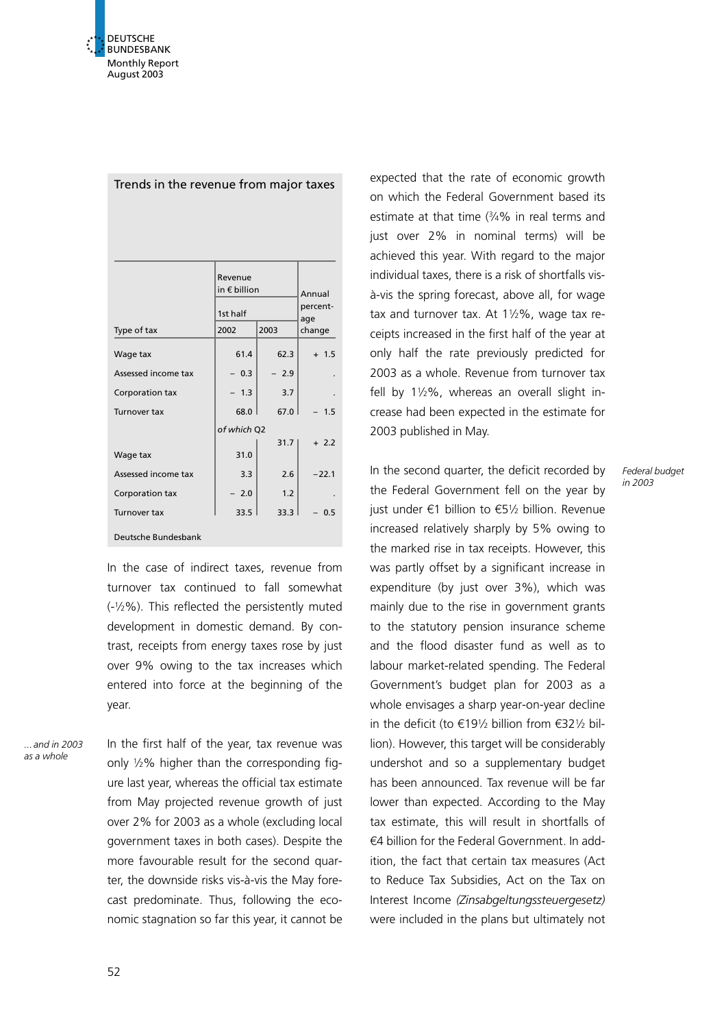|                     | Revenue<br>in $\epsilon$ billion | Annual<br>percent-<br>age |         |
|---------------------|----------------------------------|---------------------------|---------|
|                     | 1st half                         |                           |         |
| Type of tax         | 2002                             | 2003                      | change  |
| Wage tax            | 61.4                             | 62.3                      | $+ 1.5$ |
| Assessed income tax | $-0.3$                           | $-2.9$                    |         |
| Corporation tax     | $-1.3$                           | 3.7                       |         |
| Turnover tax        | 68.0                             | 67.0                      | 1.5     |
|                     | of which Q2                      |                           |         |
| Wage tax            | 31.0                             | 31.7                      | $+2.2$  |
| Assessed income tax | 3.3                              | 2.6                       | $-22.1$ |
| Corporation tax     | 2.0                              | 1.2                       |         |
| <b>Turnover tax</b> | 33.5                             | 33.3                      | 0.5     |
| Deutsche Bundesbank |                                  |                           |         |

Trends in the revenue from major taxes

In the case of indirect taxes, revenue from turnover tax continued to fall somewhat (-12%). This reflected the persistently muted development in domestic demand. By contrast, receipts from energy taxes rose by just over 9% owing to the tax increases which entered into force at the beginning of the year.

...and in 2003 as a whole

In the first half of the year, tax revenue was only  $1/2\%$  higher than the corresponding figure last year, whereas the official tax estimate from May projected revenue growth of just over 2% for 2003 as a whole (excluding local government taxes in both cases). Despite the more favourable result for the second quarter, the downside risks vis-à-vis the May forecast predominate. Thus, following the economic stagnation so far this year, it cannot be

expected that the rate of economic growth on which the Federal Government based its estimate at that time (34% in real terms and just over 2% in nominal terms) will be achieved this year. With regard to the major individual taxes, there is a risk of shortfalls visà-vis the spring forecast, above all, for wage tax and turnover tax. At  $1\frac{1}{2}\%$ , wage tax receipts increased in the first half of the year at only half the rate previously predicted for 2003 as a whole. Revenue from turnover tax fell by  $1\frac{1}{2}\%$ , whereas an overall slight increase had been expected in the estimate for 2003 published in May.

In the second quarter, the deficit recorded by the Federal Government fell on the year by just under  $\epsilon$ 1 billion to  $\epsilon$ 51/2 billion. Revenue increased relatively sharply by 5% owing to the marked rise in tax receipts. However, this was partly offset by a significant increase in expenditure (by just over 3%), which was mainly due to the rise in government grants to the statutory pension insurance scheme and the flood disaster fund as well as to labour market-related spending. The Federal Government's budget plan for 2003 as a whole envisages a sharp year-on-year decline in the deficit (to  $\epsilon$ 191/<sub>2</sub> billion from  $\epsilon$ 321/<sub>2</sub> billion). However, this target will be considerably undershot and so a supplementary budget has been announced. Tax revenue will be far lower than expected. According to the May tax estimate, this will result in shortfalls of  $64$  billion for the Federal Government. In addition, the fact that certain tax measures (Act to Reduce Tax Subsidies, Act on the Tax on Interest Income (Zinsabgeltungssteuergesetz) were included in the plans but ultimately not Federal budget in 2003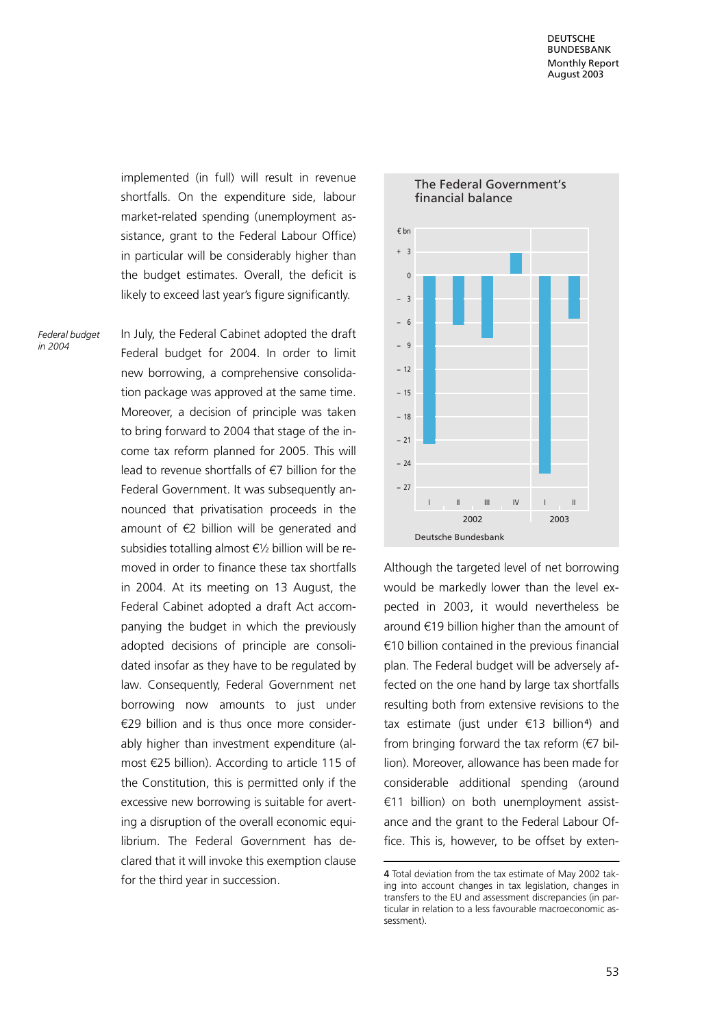implemented (in full) will result in revenue shortfalls. On the expenditure side, labour market-related spending (unemployment assistance, grant to the Federal Labour Office) in particular will be considerably higher than the budget estimates. Overall, the deficit is likely to exceed last year's figure significantly.

Federal budget in 2004

In July, the Federal Cabinet adopted the draft Federal budget for 2004. In order to limit new borrowing, a comprehensive consolidation package was approved at the same time. Moreover, a decision of principle was taken to bring forward to 2004 that stage of the income tax reform planned for 2005. This will lead to revenue shortfalls of  $\epsilon$ 7 billion for the Federal Government. It was subsequently announced that privatisation proceeds in the amount of  $\epsilon$ 2 billion will be generated and subsidies totalling almost  $\epsilon$ 1/2 billion will be removed in order to finance these tax shortfalls in 2004. At its meeting on 13 August, the Federal Cabinet adopted a draft Act accompanying the budget in which the previously adopted decisions of principle are consolidated insofar as they have to be regulated by law. Consequently, Federal Government net borrowing now amounts to just under  $E$ 29 billion and is thus once more considerably higher than investment expenditure (almost  $E$ 25 billion). According to article 115 of the Constitution, this is permitted only if the excessive new borrowing is suitable for averting a disruption of the overall economic equilibrium. The Federal Government has declared that it will invoke this exemption clause for the third year in succession.



Although the targeted level of net borrowing would be markedly lower than the level expected in 2003, it would nevertheless be around  $\epsilon$ 19 billion higher than the amount of  $€10$  billion contained in the previous financial plan. The Federal budget will be adversely affected on the one hand by large tax shortfalls resulting both from extensive revisions to the tax estimate (just under  $\epsilon$ 13 billion<sup>4</sup>) and from bringing forward the tax reform  $(\epsilon 7$  billion). Moreover, allowance has been made for considerable additional spending (around  $£11$  billion) on both unemployment assistance and the grant to the Federal Labour Office. This is, however, to be offset by exten-

<sup>4</sup> Total deviation from the tax estimate of May 2002 taking into account changes in tax legislation, changes in transfers to the EU and assessment discrepancies (in particular in relation to a less favourable macroeconomic assessment).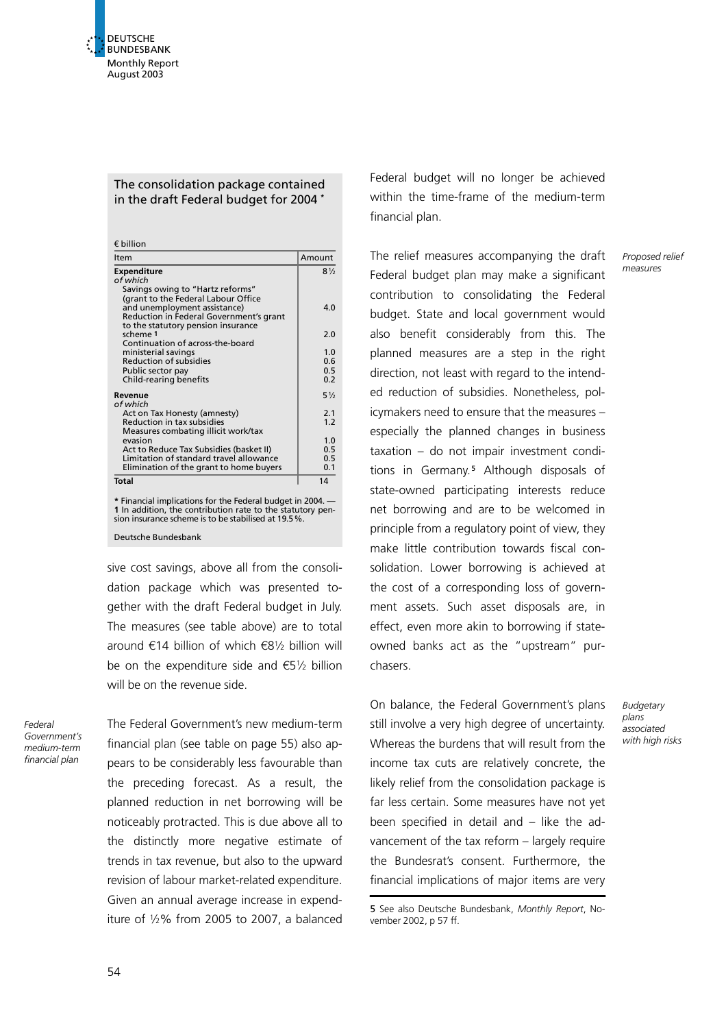# The consolidation package contained in the draft Federal budget for 2004 \*

 $f$  billion

| Item                                                                               | Amount         |
|------------------------------------------------------------------------------------|----------------|
| <b>Expenditure</b>                                                                 | $8\frac{1}{2}$ |
| of which                                                                           |                |
| Savings owing to "Hartz reforms"                                                   |                |
| (grant to the Federal Labour Office<br>and unemployment assistance)                | 4.0            |
| Reduction in Federal Government's grant                                            |                |
| to the statutory pension insurance                                                 |                |
| scheme 1                                                                           | 2.0            |
| Continuation of across-the-board                                                   |                |
| ministerial savings                                                                | 1.0            |
| Reduction of subsidies                                                             | 0.6            |
| Public sector pay                                                                  | 0.5            |
| Child-rearing benefits                                                             | 0.2            |
| Revenue                                                                            | $5\frac{1}{2}$ |
| of which                                                                           |                |
| Act on Tax Honesty (amnesty)                                                       | 2.1            |
| Reduction in tax subsidies                                                         | 1.2            |
| Measures combating illicit work/tax                                                |                |
| evasion                                                                            | 1.0<br>0.5     |
| Act to Reduce Tax Subsidies (basket II)<br>Limitation of standard travel allowance | 0.5            |
| Elimination of the grant to home buyers                                            | 0.1            |
|                                                                                    |                |
| <b>Total</b>                                                                       | 14             |
| * Financial implications for the Federal budget in 2004. —                         |                |
| 1 In addition, the contribution rate to the statutory pen-                         |                |

1 In addition, the contribution rate to the statutory pen-sion insurance scheme is to be stabilised at 19.5%.

Deutsche Bundesbank

sive cost savings, above all from the consolidation package which was presented together with the draft Federal budget in July. The measures (see table above) are to total around  $\epsilon$ 14 billion of which  $\epsilon$ 81/2 billion will be on the expenditure side and  $\epsilon$ 51/2 billion will be on the revenue side.

Federal Government's medium-term financial plan

The Federal Government's new medium-term financial plan (see table on page 55) also appears to be considerably less favourable than the preceding forecast. As a result, the planned reduction in net borrowing will be noticeably protracted. This is due above all to the distinctly more negative estimate of trends in tax revenue, but also to the upward revision of labour market-related expenditure. Given an annual average increase in expenditure of  $1/2\%$  from 2005 to 2007, a balanced

Federal budget will no longer be achieved within the time-frame of the medium-term financial plan.

The relief measures accompanying the draft Federal budget plan may make a significant contribution to consolidating the Federal budget. State and local government would also benefit considerably from this. The planned measures are a step in the right direction, not least with regard to the intended reduction of subsidies. Nonetheless, policymakers need to ensure that the measures – especially the planned changes in business taxation – do not impair investment conditions in Germany.<sup>5</sup> Although disposals of state-owned participating interests reduce net borrowing and are to be welcomed in principle from a regulatory point of view, they make little contribution towards fiscal consolidation. Lower borrowing is achieved at the cost of a corresponding loss of government assets. Such asset disposals are, in effect, even more akin to borrowing if stateowned banks act as the "upstream" purchasers.

On balance, the Federal Government's plans still involve a very high degree of uncertainty. Whereas the burdens that will result from the income tax cuts are relatively concrete, the likely relief from the consolidation package is far less certain. Some measures have not yet been specified in detail and – like the advancement of the tax reform – largely require the Bundesrat's consent. Furthermore, the financial implications of major items are very

5 See also Deutsche Bundesbank, Monthly Report, November 2002, p 57 ff.

Proposed relief measures

**Budgetary** plans associated with high risks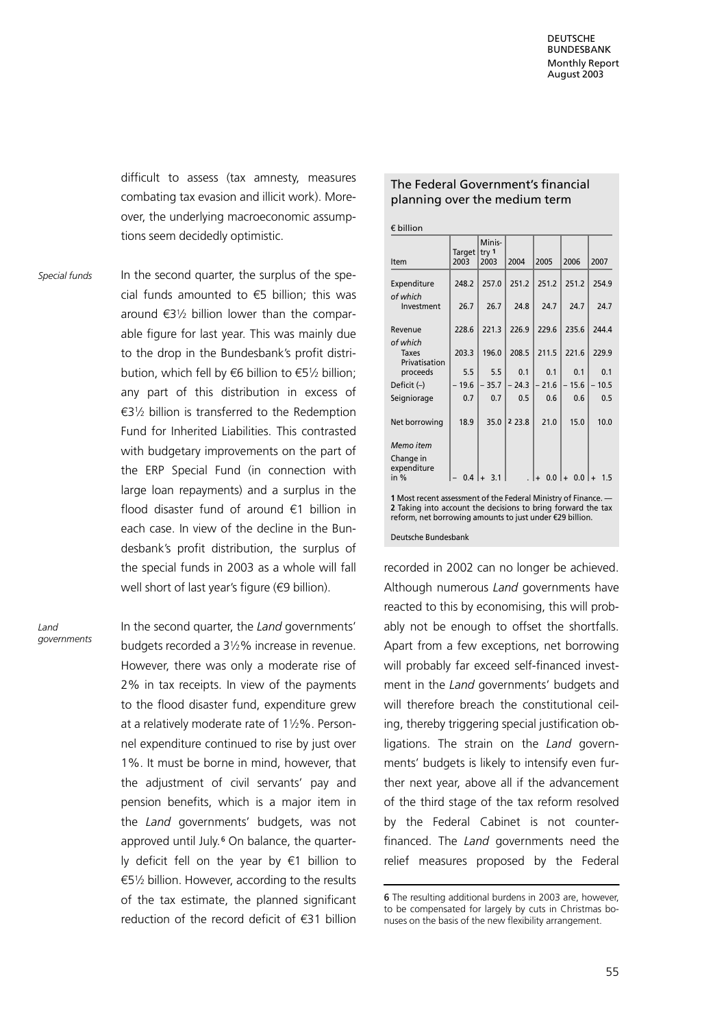difficult to assess (tax amnesty, measures combating tax evasion and illicit work). Moreover, the underlying macroeconomic assumptions seem decidedly optimistic.

In the second quarter, the surplus of the special funds amounted to  $\epsilon$ 5 billion; this was around  $\epsilon$ 31/2 billion lower than the comparable figure for last year. This was mainly due to the drop in the Bundesbank's profit distribution, which fell by  $\epsilon$ 6 billion to  $\epsilon$ 51/2 billion; any part of this distribution in excess of  $63\frac{1}{2}$  billion is transferred to the Redemption Fund for Inherited Liabilities. This contrasted with budgetary improvements on the part of the ERP Special Fund (in connection with large loan repayments) and a surplus in the flood disaster fund of around  $\epsilon$ 1 billion in each case. In view of the decline in the Bundesbank's profit distribution, the surplus of the special funds in 2003 as a whole will fall well short of last year's figure  $(69$  billion). Special funds

Land governments In the second quarter, the Land governments' budgets recorded a 312% increase in revenue. However, there was only a moderate rise of 2% in tax receipts. In view of the payments to the flood disaster fund, expenditure grew at a relatively moderate rate of  $1\frac{1}{2}\%$ . Personnel expenditure continued to rise by just over 1%. It must be borne in mind, however, that the adjustment of civil servants' pay and pension benefits, which is a major item in the Land governments' budgets, was not approved until July.<sup>6</sup> On balance, the quarterly deficit fell on the year by  $\epsilon$ 1 billion to  $65\frac{1}{2}$  billion. However, according to the results of the tax estimate, the planned significant reduction of the record deficit of  $f(31)$  billion

### The Federal Government's financial planning over the medium term

 $f$  billion

| Item                                                                                                         | Target<br>2003 | Minis-<br>try <sub>1</sub><br>2003 | 2004      | 2005    | 2006                             | 2007  |
|--------------------------------------------------------------------------------------------------------------|----------------|------------------------------------|-----------|---------|----------------------------------|-------|
| Expenditure                                                                                                  | 248.2          | 257.0                              | 251.2     | 251.2   | 251.2                            | 254.9 |
| of which<br>Investment                                                                                       | 26.7           | 26.7                               | 24.8      | 24.7    | 24.7                             | 24.7  |
| Revenue                                                                                                      | 228.6          | 221.3                              | 226.9     | 229.6   | 235.6                            | 244.4 |
| of which<br><b>Taxes</b><br>Privatisation                                                                    | 203.3          | 196.0                              | 208.5     | 211.5   | 221.6                            | 229.9 |
| proceeds                                                                                                     | 5.5            | 5.5                                | 0.1       | 0.1     | 0.1                              | 0.1   |
| Deficit $(-)$                                                                                                | $-19.6$        | $-35.7$                            | $-24.3$   | $-21.6$ | 15.6<br>$\overline{\phantom{0}}$ | 10.5  |
| Seigniorage                                                                                                  | 0.7            | 0.7                                | 0.5       | 0.6     | 0.6                              | 0.5   |
| Net borrowing                                                                                                | 18.9           | 35.0                               | 2 2 3 . 8 | 21.0    | 15.0                             | 10.0  |
| Memo item                                                                                                    |                |                                    |           |         |                                  |       |
| Change in<br>expenditure<br>in $%$                                                                           | 0.4            | 3.1                                |           | 0.0     | 0.0                              | 1.5   |
| 1 Most recent assessment of the Federal Ministry of Finance. —<br>وروسا والمستلم والمتعارض والمتلوث والمنادر |                |                                    |           |         |                                  |       |

2 Taking into account the decisions to bring forward the tax reform, net borrowing amounts to just under 529 billion.

Deutsche Bundesbank

recorded in 2002 can no longer be achieved. Although numerous Land governments have reacted to this by economising, this will probably not be enough to offset the shortfalls. Apart from a few exceptions, net borrowing will probably far exceed self-financed investment in the Land governments' budgets and will therefore breach the constitutional ceiling, thereby triggering special justification obligations. The strain on the Land governments' budgets is likely to intensify even further next year, above all if the advancement of the third stage of the tax reform resolved by the Federal Cabinet is not counterfinanced. The Land governments need the relief measures proposed by the Federal

<sup>6</sup> The resulting additional burdens in 2003 are, however, to be compensated for largely by cuts in Christmas bonuses on the basis of the new flexibility arrangement.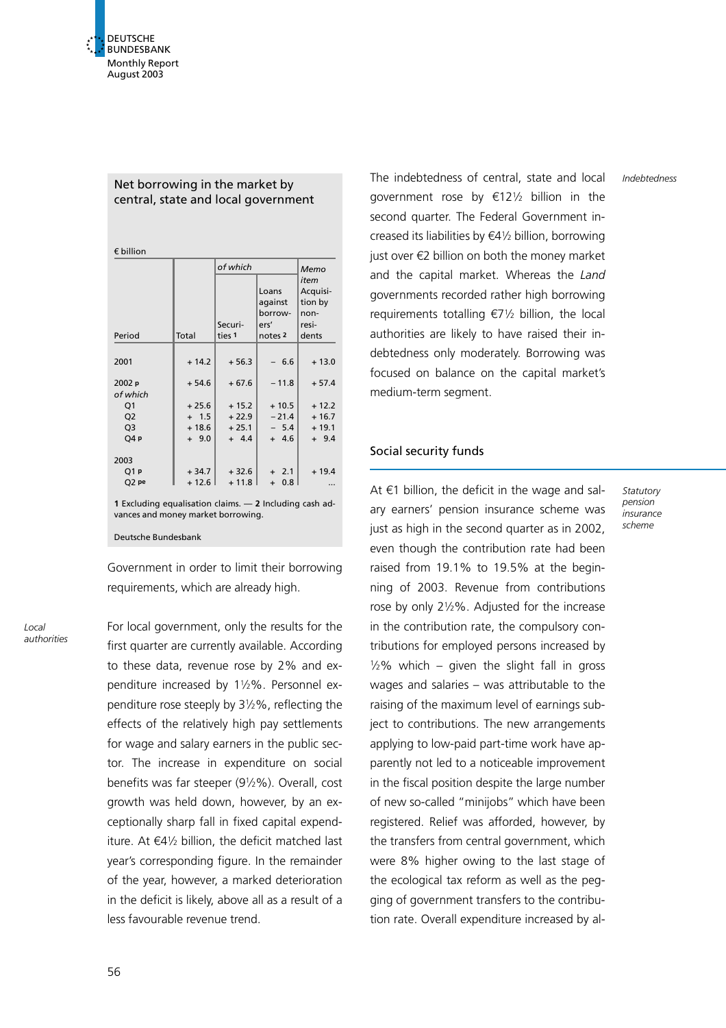# Net borrowing in the market by central, state and local government

 $\epsilon$  billion

|                                                         |         | of which          | Memo<br>item<br>Acquisi-<br>tion by<br>non-<br>resi-<br>dents |         |                                                           |
|---------------------------------------------------------|---------|-------------------|---------------------------------------------------------------|---------|-----------------------------------------------------------|
| Total<br>Period                                         |         | Securi-<br>ties 1 |                                                               |         | Loans<br>against<br>borrow-<br>ers'<br>notes <sub>2</sub> |
|                                                         |         |                   |                                                               |         |                                                           |
| 2001                                                    | $+14.2$ | $+56.3$           | $-6.6$                                                        | $+13.0$ |                                                           |
| 2002 p<br>of which                                      | $+54.6$ | $+67.6$           | $-11.8$                                                       | $+57.4$ |                                                           |
| Q1                                                      | $+25.6$ | $+15.2$           | $+10.5$                                                       | $+12.2$ |                                                           |
| Q <sub>2</sub>                                          | $+ 1.5$ | $+22.9$           | $-21.4$                                                       | $+16.7$ |                                                           |
| Q3                                                      | $+18.6$ | $+25.1$           | $-5.4$                                                        | $+19.1$ |                                                           |
| Q4p                                                     | $+9.0$  | $+ 4.4$           | $+ 4.6$                                                       | $+9.4$  |                                                           |
| 2003                                                    |         |                   |                                                               |         |                                                           |
| Q1 p                                                    | $+34.7$ | $+32.6$           | $+2.1$                                                        | $+19.4$ |                                                           |
| Q2 pe                                                   | $+12.6$ | $+11.8$           | 0.8<br>$+$                                                    |         |                                                           |
| 1 Excluding equalisation claims. - 2 Including cash ad- |         |                   |                                                               |         |                                                           |

vances and money market borrowing.

Deutsche Bundesbank

Government in order to limit their borrowing requirements, which are already high.

Local authorities For local government, only the results for the first quarter are currently available. According to these data, revenue rose by 2% and expenditure increased by 112%. Personnel expenditure rose steeply by 312%, reflecting the effects of the relatively high pay settlements for wage and salary earners in the public sector. The increase in expenditure on social benefits was far steeper (912%). Overall, cost growth was held down, however, by an exceptionally sharp fall in fixed capital expenditure. At  $\epsilon$ 41/<sub>2</sub> billion, the deficit matched last year's corresponding figure. In the remainder of the year, however, a marked deterioration in the deficit is likely, above all as a result of a less favourable revenue trend.

The indebtedness of central, state and local government rose by  $\epsilon$ 121/<sub>2</sub> billion in the second quarter. The Federal Government increased its liabilities by  $\epsilon$ 41/2 billion, borrowing just over  $\notin$ 2 billion on both the money market and the capital market. Whereas the Land governments recorded rather high borrowing requirements totalling  $E_7$ <sup>1</sup>/<sub>2</sub> billion, the local authorities are likely to have raised their indebtedness only moderately. Borrowing was focused on balance on the capital market's medium-term segment.

# Social security funds

At  $\epsilon$ 1 billion, the deficit in the wage and salary earners' pension insurance scheme was just as high in the second quarter as in 2002. even though the contribution rate had been raised from 19.1% to 19.5% at the beginning of 2003. Revenue from contributions rose by only 212%. Adjusted for the increase in the contribution rate, the compulsory contributions for employed persons increased by  $1/2\%$  which – given the slight fall in gross wages and salaries – was attributable to the raising of the maximum level of earnings subject to contributions. The new arrangements applying to low-paid part-time work have apparently not led to a noticeable improvement in the fiscal position despite the large number of new so-called "minijobs" which have been registered. Relief was afforded, however, by the transfers from central government, which were 8% higher owing to the last stage of the ecological tax reform as well as the pegging of government transfers to the contribution rate. Overall expenditure increased by alIndebtedness

Statutory pension .<br>insurance scheme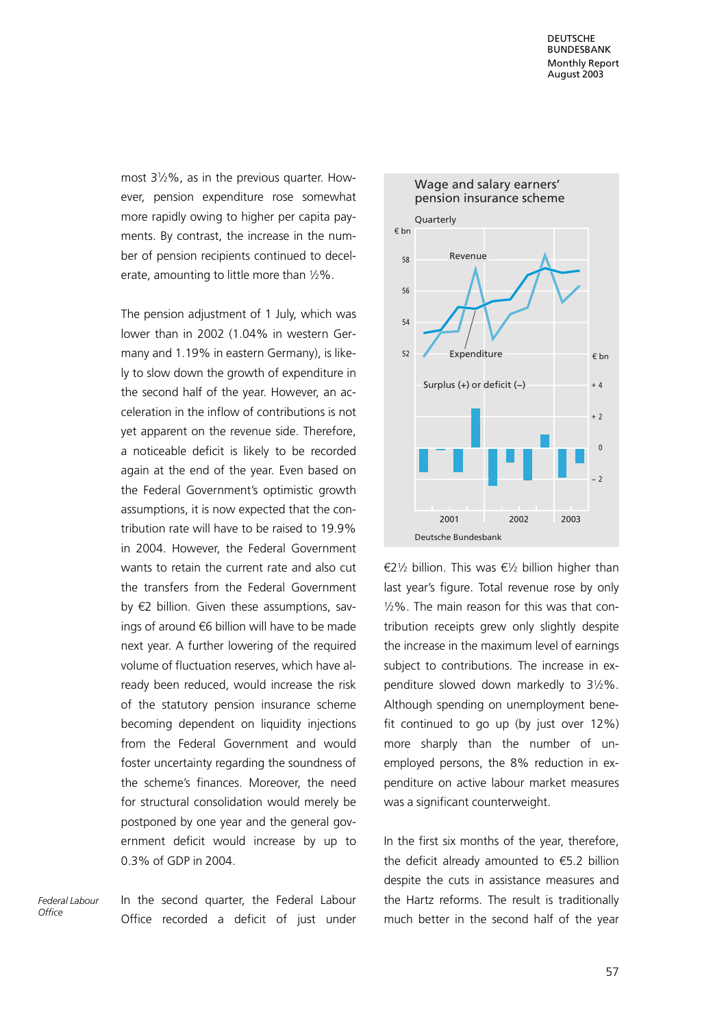most 312%, as in the previous quarter. However, pension expenditure rose somewhat more rapidly owing to higher per capita payments. By contrast, the increase in the number of pension recipients continued to decelerate, amounting to little more than  $1/2\%$ .

The pension adjustment of 1 July, which was lower than in 2002 (1.04% in western Germany and 1.19% in eastern Germany), is likely to slow down the growth of expenditure in the second half of the year. However, an acceleration in the inflow of contributions is not yet apparent on the revenue side. Therefore, a noticeable deficit is likely to be recorded again at the end of the year. Even based on the Federal Government's optimistic growth assumptions, it is now expected that the contribution rate will have to be raised to 19.9% in 2004. However, the Federal Government wants to retain the current rate and also cut the transfers from the Federal Government by  $E2$  billion. Given these assumptions, savings of around  $66$  billion will have to be made next year. A further lowering of the required volume of fluctuation reserves, which have already been reduced, would increase the risk of the statutory pension insurance scheme becoming dependent on liquidity injections from the Federal Government and would foster uncertainty regarding the soundness of the scheme's finances. Moreover, the need for structural consolidation would merely be postponed by one year and the general government deficit would increase by up to 0.3% of GDP in 2004.

Federal Labour  $Offica$ 

In the second quarter, the Federal Labour Office recorded a deficit of just under



 $\epsilon$ 21/<sub>2</sub> billion. This was  $\epsilon$ 1/<sub>2</sub> billion higher than last year's figure. Total revenue rose by only 12%. The main reason for this was that contribution receipts grew only slightly despite the increase in the maximum level of earnings subject to contributions. The increase in expenditure slowed down markedly to 312%. Although spending on unemployment benefit continued to go up (by just over 12%) more sharply than the number of unemployed persons, the 8% reduction in expenditure on active labour market measures was a significant counterweight.

In the first six months of the year, therefore, the deficit already amounted to  $\epsilon$ 5.2 billion despite the cuts in assistance measures and the Hartz reforms. The result is traditionally much better in the second half of the year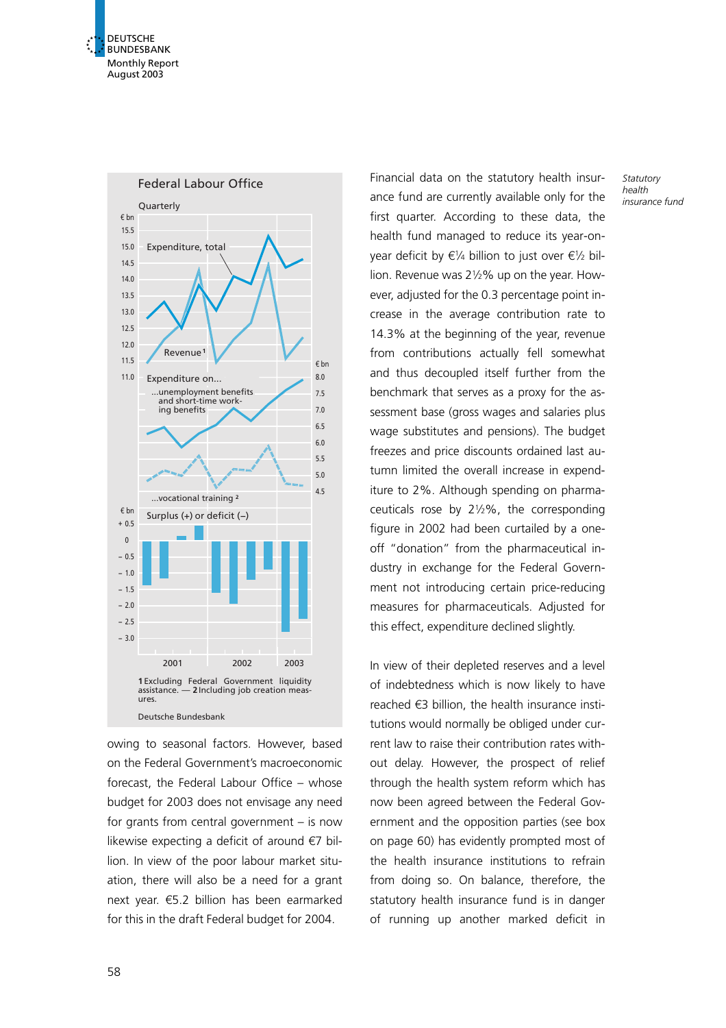



owing to seasonal factors. However, based on the Federal Government's macroeconomic forecast, the Federal Labour Office – whose budget for 2003 does not envisage any need for grants from central government – is now likewise expecting a deficit of around  $\epsilon$ 7 billion. In view of the poor labour market situation, there will also be a need for a grant next year.  $65.2$  billion has been earmarked for this in the draft Federal budget for 2004.

Financial data on the statutory health insurance fund are currently available only for the first quarter. According to these data, the health fund managed to reduce its year-onyear deficit by  $\epsilon$ 1/4 billion to just over  $\epsilon$ 1/2 billion. Revenue was 212% up on the year. However, adjusted for the 0.3 percentage point increase in the average contribution rate to 14.3% at the beginning of the year, revenue from contributions actually fell somewhat and thus decoupled itself further from the benchmark that serves as a proxy for the assessment base (gross wages and salaries plus wage substitutes and pensions). The budget freezes and price discounts ordained last autumn limited the overall increase in expenditure to 2%. Although spending on pharmaceuticals rose by  $2\frac{1}{2}\%$ , the corresponding figure in 2002 had been curtailed by a oneoff "donation" from the pharmaceutical industry in exchange for the Federal Government not introducing certain price-reducing measures for pharmaceuticals. Adjusted for this effect, expenditure declined slightly.

In view of their depleted reserves and a level of indebtedness which is now likely to have reached  $\epsilon$ 3 billion, the health insurance institutions would normally be obliged under current law to raise their contribution rates without delay. However, the prospect of relief through the health system reform which has now been agreed between the Federal Government and the opposition parties (see box on page 60) has evidently prompted most of the health insurance institutions to refrain from doing so. On balance, therefore, the statutory health insurance fund is in danger of running up another marked deficit in

**Statutory** health insurance fund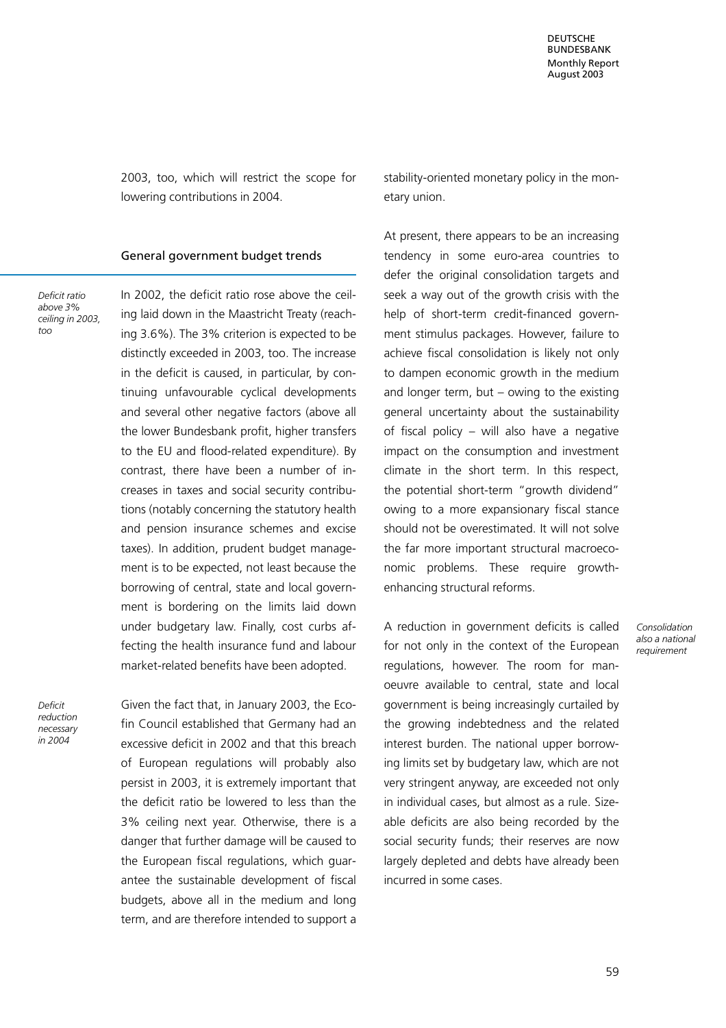2003, too, which will restrict the scope for lowering contributions in 2004.

### General government budget trends

Deficit ratio above 3% ceiling in 2003, too

In 2002, the deficit ratio rose above the ceiling laid down in the Maastricht Treaty (reaching 3.6%). The 3% criterion is expected to be distinctly exceeded in 2003, too. The increase in the deficit is caused, in particular, by continuing unfavourable cyclical developments and several other negative factors (above all the lower Bundesbank profit, higher transfers to the EU and flood-related expenditure). By contrast, there have been a number of increases in taxes and social security contributions (notably concerning the statutory health and pension insurance schemes and excise taxes). In addition, prudent budget management is to be expected, not least because the borrowing of central, state and local government is bordering on the limits laid down under budgetary law. Finally, cost curbs affecting the health insurance fund and labour market-related benefits have been adopted.

Deficit reduction necessary in 2004

Given the fact that, in January 2003, the Ecofin Council established that Germany had an excessive deficit in 2002 and that this breach of European regulations will probably also persist in 2003, it is extremely important that the deficit ratio be lowered to less than the 3% ceiling next year. Otherwise, there is a danger that further damage will be caused to the European fiscal regulations, which guarantee the sustainable development of fiscal budgets, above all in the medium and long term, and are therefore intended to support a stability-oriented monetary policy in the monetary union.

At present, there appears to be an increasing tendency in some euro-area countries to defer the original consolidation targets and seek a way out of the growth crisis with the help of short-term credit-financed government stimulus packages. However, failure to achieve fiscal consolidation is likely not only to dampen economic growth in the medium and longer term, but  $-$  owing to the existing general uncertainty about the sustainability of fiscal policy – will also have a negative impact on the consumption and investment climate in the short term. In this respect, the potential short-term "growth dividend" owing to a more expansionary fiscal stance should not be overestimated. It will not solve the far more important structural macroeconomic problems. These require growthenhancing structural reforms.

A reduction in government deficits is called for not only in the context of the European regulations, however. The room for manoeuvre available to central, state and local government is being increasingly curtailed by the growing indebtedness and the related interest burden. The national upper borrowing limits set by budgetary law, which are not very stringent anyway, are exceeded not only in individual cases, but almost as a rule. Sizeable deficits are also being recorded by the social security funds; their reserves are now largely depleted and debts have already been incurred in some cases.

Consolidation also a national requirement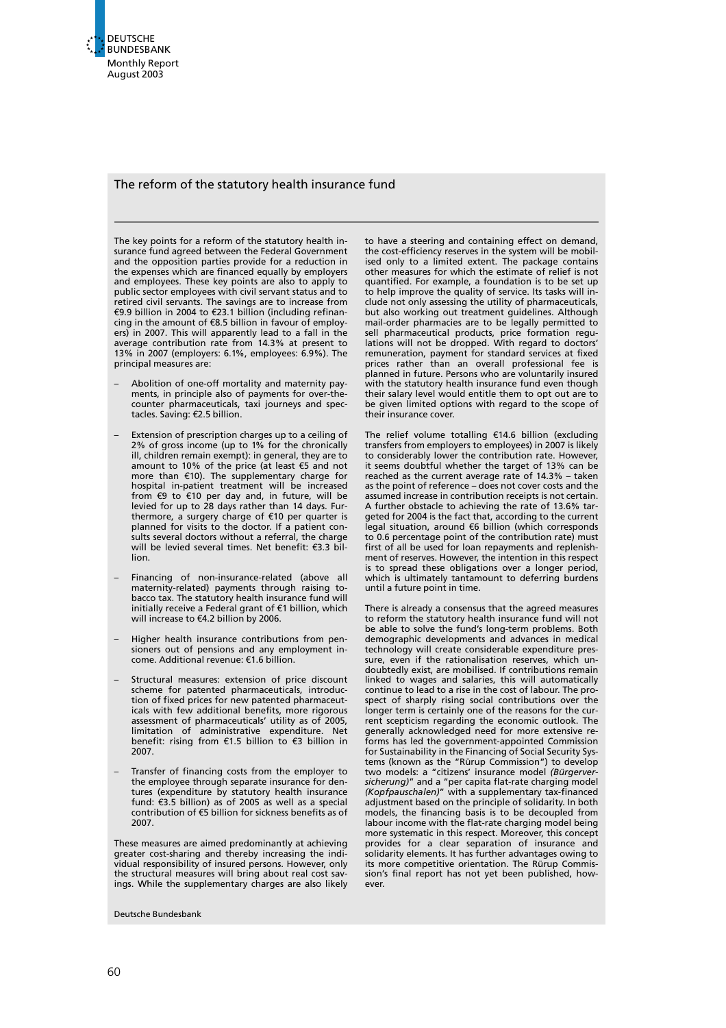

### The reform of the statutory health insurance fund

The key points for a reform of the statutory health insurance fund agreed between the Federal Government and the opposition parties provide for a reduction in the expenses which are financed equally by employers and employees. These key points are also to apply to public sector employees with civil servant status and to retired civil servants. The savings are to increase from €9.9 billion in 2004 to €23.1 billion (including refinancing in the amount of  $E$ 8.5 billion in favour of employers) in 2007. This will apparently lead to a fall in the average contribution rate from 14.3% at present to 13% in 2007 (employers: 6.1%, employees: 6.9%). The principal measures are:

- Abolition of one-off mortality and maternity payments, in principle also of payments for over-thecounter pharmaceuticals, taxi journeys and spectacles. Saving: €2.5 billion.
- Extension of prescription charges up to a ceiling of 2% of gross income (up to 1% for the chronically ill, children remain exempt): in general, they are to amount to 10% of the price (at least  $\epsilon$ 5 and not more than  $\epsilon$ 10). The supplementary charge for hospital in-patient treatment will be increased from  $69$  to  $610$  per day and, in future, will be levied for up to 28 days rather than 14 days. Furthermore, a surgery charge of  $€10$  per quarter is planned for visits to the doctor. If a patient consults several doctors without a referral, the charge will be levied several times. Net benefit:  $\epsilon$ 3.3 billion.
- Financing of non-insurance-related (above all maternity-related) payments through raising tobacco tax. The statutory health insurance fund will initially receive a Federal grant of  $\epsilon$ 1 billion, which will increase to  $€4.2$  billion by 2006.
- Higher health insurance contributions from pensioners out of pensions and any employment in-come. Additional revenue: 51.6 billion.
- Structural measures: extension of price discount scheme for patented pharmaceuticals, introduction of fixed prices for new patented pharmaceuticals with few additional benefits, more rigorous assessment of pharmaceuticals' utility as of 2005, limitation of administrative expenditure. Net benefit: rising from 51.5 billion to 53 billion in 2007.
- Transfer of financing costs from the employer to the employee through separate insurance for dentures (expenditure by statutory health insurance fund:  $\epsilon$ 3.5 billion) as of 2005 as well as a special contribution of  $\epsilon$ 5 billion for sickness benefits as of 2007.

These measures are aimed predominantly at achieving greater cost-sharing and thereby increasing the individual responsibility of insured persons. However, only the structural measures will bring about real cost savings. While the supplementary charges are also likely

Deutsche Bundesbank

to have a steering and containing effect on demand, the cost-efficiency reserves in the system will be mobilised only to a limited extent. The package contains other measures for which the estimate of relief is not quantified. For example, a foundation is to be set up to help improve the quality of service. Its tasks will include not only assessing the utility of pharmaceuticals, but also working out treatment guidelines. Although mail-order pharmacies are to be legally permitted to sell pharmaceutical products, price formation regulations will not be dropped. With regard to doctors' remuneration, payment for standard services at fixed prices rather than an overall professional fee is planned in future. Persons who are voluntarily insured with the statutory health insurance fund even though their salary level would entitle them to opt out are to be given limited options with regard to the scope of their insurance cover.

The relief volume totalling  $£14.6$  billion (excluding transfers from employers to employees) in 2007 is likely to considerably lower the contribution rate. However, it seems doubtful whether the target of 13% can be reached as the current average rate of 14.3% – taken as the point of reference – does not cover costs and the assumed increase in contribution receipts is not certain. A further obstacle to achieving the rate of 13.6% targeted for 2004 is the fact that, according to the current  $\bar{1}$ egal situation, around  $\epsilon$ 6 billion (which corresponds to 0.6 percentage point of the contribution rate) must first of all be used for loan repayments and replenishment of reserves. However, the intention in this respect is to spread these obligations over a longer period, which is ultimately tantamount to deferring burdens until a future point in time.

There is already a consensus that the agreed measures to reform the statutory health insurance fund will not be able to solve the fund's long-term problems. Both demographic developments and advances in medical technology will create considerable expenditure pressure, even if the rationalisation reserves, which undoubtedly exist, are mobilised. If contributions remain linked to wages and salaries, this will automatically continue to lead to a rise in the cost of labour. The prospect of sharply rising social contributions over the longer term is certainly one of the reasons for the current scepticism regarding the economic outlook. The generally acknowledged need for more extensive reforms has led the government-appointed Commission for Sustainability in the Financing of Social Security Systems (known as the "Rürup Commission") to develop two models: a "citizens' insurance model (Bürgerversicherung)" and a "per capita flat-rate charging model (Kopfpauschalen)" with a supplementary tax-financed adjustment based on the principle of solidarity. In both models, the financing basis is to be decoupled from labour income with the flat-rate charging model being more systematic in this respect. Moreover, this concept provides for a clear separation of insurance and solidarity elements. It has further advantages owing to its more competitive orientation. The Rürup Commission's final report has not yet been published, however.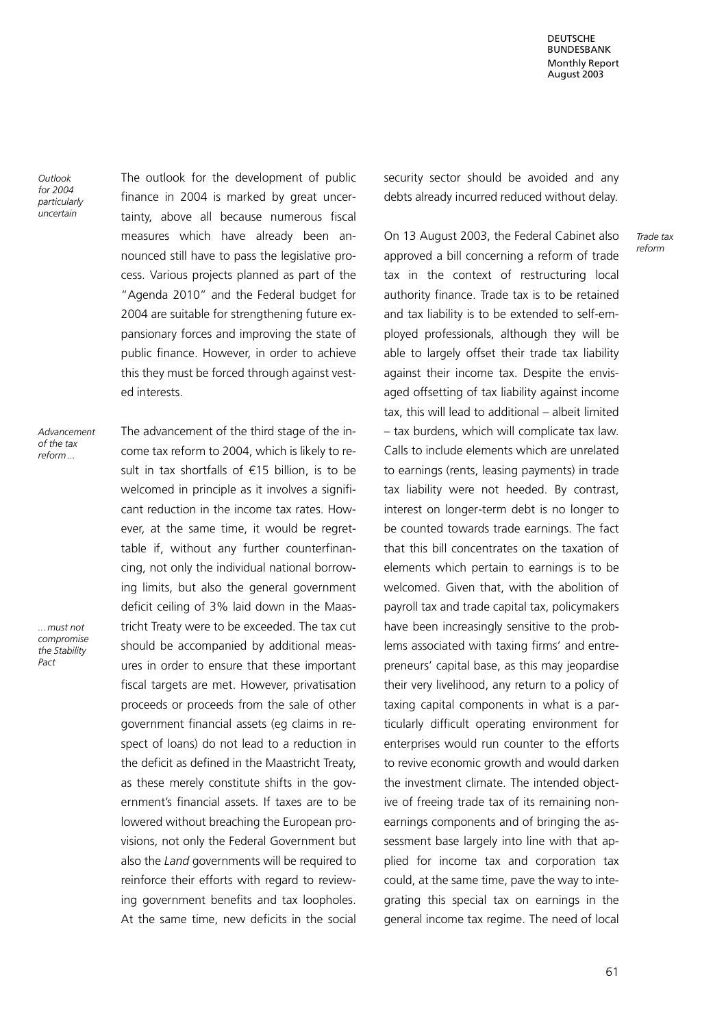DEUTSCHE BUNDESBANK Monthly Report August 2003

**Outlook** for 2004 particularly uncertain

The outlook for the development of public finance in 2004 is marked by great uncertainty, above all because numerous fiscal measures which have already been announced still have to pass the legislative process. Various projects planned as part of the "Agenda 2010" and the Federal budget for 2004 are suitable for strengthening future expansionary forces and improving the state of public finance. However, in order to achieve this they must be forced through against vested interests.

Advancement of the tax reform...

...must not compromise the Stability Pact

The advancement of the third stage of the income tax reform to 2004, which is likely to result in tax shortfalls of  $E$ 15 billion, is to be welcomed in principle as it involves a significant reduction in the income tax rates. However, at the same time, it would be regrettable if, without any further counterfinancing, not only the individual national borrowing limits, but also the general government deficit ceiling of 3% laid down in the Maastricht Treaty were to be exceeded. The tax cut should be accompanied by additional measures in order to ensure that these important fiscal targets are met. However, privatisation proceeds or proceeds from the sale of other government financial assets (eg claims in respect of loans) do not lead to a reduction in the deficit as defined in the Maastricht Treaty, as these merely constitute shifts in the government's financial assets. If taxes are to be lowered without breaching the European provisions, not only the Federal Government but also the Land governments will be required to reinforce their efforts with regard to reviewing government benefits and tax loopholes. At the same time, new deficits in the social security sector should be avoided and any debts already incurred reduced without delay.

On 13 August 2003, the Federal Cabinet also approved a bill concerning a reform of trade tax in the context of restructuring local authority finance. Trade tax is to be retained and tax liability is to be extended to self-employed professionals, although they will be able to largely offset their trade tax liability against their income tax. Despite the envisaged offsetting of tax liability against income tax, this will lead to additional – albeit limited – tax burdens, which will complicate tax law. Calls to include elements which are unrelated to earnings (rents, leasing payments) in trade tax liability were not heeded. By contrast, interest on longer-term debt is no longer to be counted towards trade earnings. The fact that this bill concentrates on the taxation of elements which pertain to earnings is to be welcomed. Given that, with the abolition of payroll tax and trade capital tax, policymakers have been increasingly sensitive to the problems associated with taxing firms' and entrepreneurs' capital base, as this may jeopardise their very livelihood, any return to a policy of taxing capital components in what is a particularly difficult operating environment for enterprises would run counter to the efforts to revive economic growth and would darken the investment climate. The intended objective of freeing trade tax of its remaining nonearnings components and of bringing the assessment base largely into line with that applied for income tax and corporation tax could, at the same time, pave the way to integrating this special tax on earnings in the general income tax regime. The need of local

Trade tax reform

61